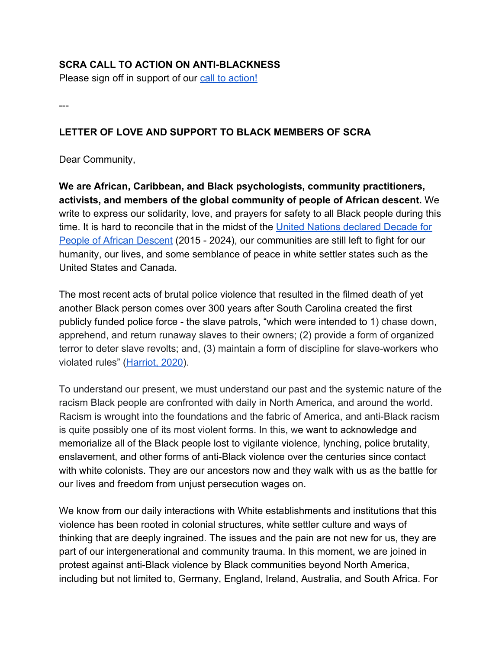### **SCRA CALL TO ACTION ON ANTI-BLACKNESS**

Please sign off in support of our [call to action!](https://docs.google.com/forms/d/e/1FAIpQLScPczfGtzxMM--5qIWFpsEkdTDWbwGI2hnkTDrHQ9rUO1ygkQ/viewform?usp=sf_link)

---

# **LETTER OF LOVE AND SUPPORT TO BLACK MEMBERS OF SCRA**

Dear Community,

**We are African, Caribbean, and Black psychologists, community practitioners, activists, and members of the global community of people of African descent.** We write to express our solidarity, love, and prayers for safety to all Black people during this time. It is hard to reconcile that in the midst of the [United Nations declared Decade for](https://www.un.org/en/observances/decade-people-african-descent/background) [People of African Descent](https://www.un.org/en/observances/decade-people-african-descent/background) (2015 - 2024), our communities are still left to fight for our humanity, our lives, and some semblance of peace in white settler states such as the United States and Canada.

The most recent acts of brutal police violence that resulted in the filmed death of yet another Black person comes over 300 years after South Carolina created the first publicly funded police force - the slave patrols, "which were intended to 1) chase down, apprehend, and return runaway slaves to their owners; (2) provide a form of organized terror to deter slave revolts; and, (3) maintain a form of discipline for slave-workers who violated rules" ([Harriot, 2020\)](https://www.theroot.com/a-timeline-of-events-that-led-to-the-2020-fed-up-rising-1843780800?fbclid=IwAR34jiLmUNjXWqTiBT7-dnrWIMrGCICCXmVga3y6cOrGY56M847C7bDQ7OU).

To understand our present, we must understand our past and the systemic nature of the racism Black people are confronted with daily in North America, and around the world. Racism is wrought into the foundations and the fabric of America, and anti-Black racism is quite possibly one of its most violent forms. In this, we want to acknowledge and memorialize all of the Black people lost to vigilante violence, lynching, police brutality, enslavement, and other forms of anti-Black violence over the centuries since contact with white colonists. They are our ancestors now and they walk with us as the battle for our lives and freedom from unjust persecution wages on.

We know from our daily interactions with White establishments and institutions that this violence has been rooted in colonial structures, white settler culture and ways of thinking that are deeply ingrained. The issues and the pain are not new for us, they are part of our intergenerational and community trauma. In this moment, we are joined in protest against anti-Black violence by Black communities beyond North America, including but not limited to, Germany, England, Ireland, Australia, and South Africa. For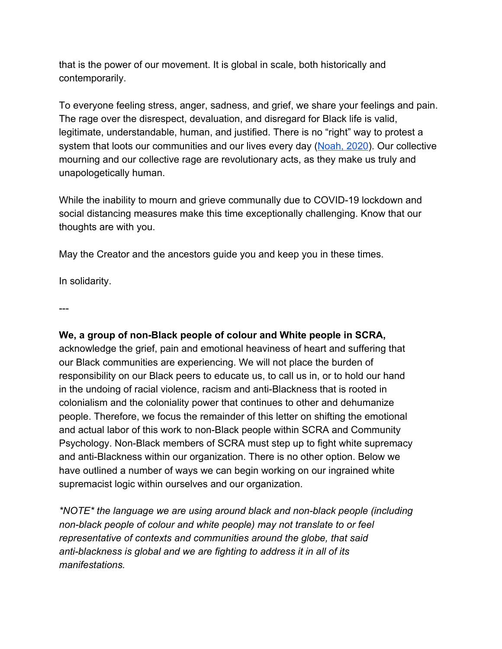that is the power of our movement. It is global in scale, both historically and contemporarily.

To everyone feeling stress, anger, sadness, and grief, we share your feelings and pain. The rage over the disrespect, devaluation, and disregard for Black life is valid, legitimate, understandable, human, and justified. There is no "right" way to protest a system that loots our communities and our lives every day ([Noah, 2020](https://www.facebook.com/TrevorNoah/?__tn__=kCH-R&eid=ARBJKkbxhCLlo0iJfuh7JJesry5-wurWUChcbjZSt4UBdckmEPQ1aCTlRoQkhI3oLAHfn4PUlDfRC12o&hc_ref=ARStUjdBjbh0-qGMBER1SHMwjP3UZMF3N5khqddgsEKV0rTOJo6q7FT-YE7JM36TMBQ&fref=nf&__xts__[0]=68.ARDzjl4LhCS0bpQxbzYSyreuBU6uu_mYsL9TQxfYbI56njnr3EfPJ3Vw2CB9Jx1ghIDRDQkxt5jSMlumTwyilqbbrQQQ5rUaxkKE6qhvQR0SVXLFmx0FfVh8LHC3wsavSIe41d-37nC7cW2VdiQU2s892di-XiDfX4oqwlzjPG1kKRYRELDVb6pF49nPgn6ZL2NvVsXX3GcnK9-cD2p0KGXr9t4qUr5VfZEwnutw780UOaoCLOWni_pVvrrdvOZJ0un6pKQbD6NJIeFtgSp4rIaOue5PAicXQLCAaxDYbUshsMKbdpfMsR5mmvx0ZqGOm55bqermYfNSkGcw5eE-1gs6qB0)). Our collective mourning and our collective rage are revolutionary acts, as they make us truly and unapologetically human.

While the inability to mourn and grieve communally due to COVID-19 lockdown and social distancing measures make this time exceptionally challenging. Know that our thoughts are with you.

May the Creator and the ancestors guide you and keep you in these times.

In solidarity.

---

# **We, a group of non-Black people of colour and White people in SCRA,**

acknowledge the grief, pain and emotional heaviness of heart and suffering that our Black communities are experiencing. We will not place the burden of responsibility on our Black peers to educate us, to call us in, or to hold our hand in the undoing of racial violence, racism and anti-Blackness that is rooted in colonialism and the coloniality power that continues to other and dehumanize people. Therefore, we focus the remainder of this letter on shifting the emotional and actual labor of this work to non-Black people within SCRA and Community Psychology. Non-Black members of SCRA must step up to fight white supremacy and anti-Blackness within our organization. There is no other option. Below we have outlined a number of ways we can begin working on our ingrained white supremacist logic within ourselves and our organization.

*\*NOTE\* the language we are using around black and non-black people (including non-black people of colour and white people) may not translate to or feel representative of contexts and communities around the globe, that said anti-blackness is global and we are fighting to address it in all of its manifestations.*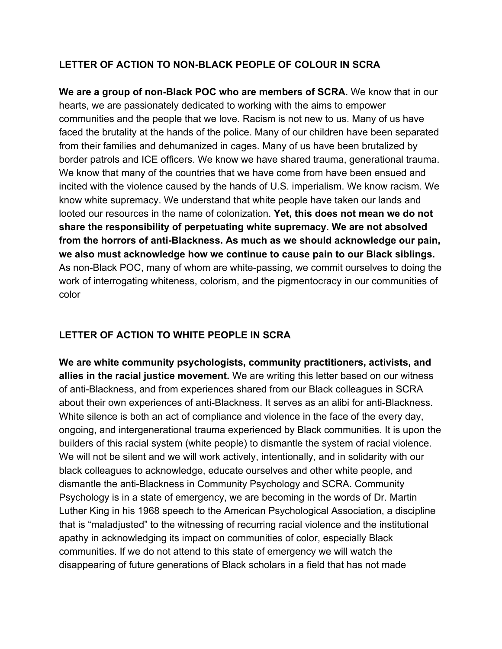### **LETTER OF ACTION TO NON-BLACK PEOPLE OF COLOUR IN SCRA**

**We are a group of non-Black POC who are members of SCRA**. We know that in our hearts, we are passionately dedicated to working with the aims to empower communities and the people that we love. Racism is not new to us. Many of us have faced the brutality at the hands of the police. Many of our children have been separated from their families and dehumanized in cages. Many of us have been brutalized by border patrols and ICE officers. We know we have shared trauma, generational trauma. We know that many of the countries that we have come from have been ensued and incited with the violence caused by the hands of U.S. imperialism. We know racism. We know white supremacy. We understand that white people have taken our lands and looted our resources in the name of colonization. **Yet, this does not mean we do not share the responsibility of perpetuating white supremacy. We are not absolved from the horrors of anti-Blackness. As much as we should acknowledge our pain, we also must acknowledge how we continue to cause pain to our Black siblings.** As non-Black POC, many of whom are white-passing, we commit ourselves to doing the work of interrogating whiteness, colorism, and the pigmentocracy in our communities of color

# **LETTER OF ACTION TO WHITE PEOPLE IN SCRA**

**We are white community psychologists, community practitioners, activists, and allies in the racial justice movement.** We are writing this letter based on our witness of anti-Blackness, and from experiences shared from our Black colleagues in SCRA about their own experiences of anti-Blackness. It serves as an alibi for anti-Blackness. White silence is both an act of compliance and violence in the face of the every day, ongoing, and intergenerational trauma experienced by Black communities. It is upon the builders of this racial system (white people) to dismantle the system of racial violence. We will not be silent and we will work actively, intentionally, and in solidarity with our black colleagues to acknowledge, educate ourselves and other white people, and dismantle the anti-Blackness in Community Psychology and SCRA. Community Psychology is in a state of emergency, we are becoming in the words of Dr. Martin Luther King in his 1968 speech to the American Psychological Association, a discipline that is "maladjusted" to the witnessing of recurring racial violence and the institutional apathy in acknowledging its impact on communities of color, especially Black communities. If we do not attend to this state of emergency we will watch the disappearing of future generations of Black scholars in a field that has not made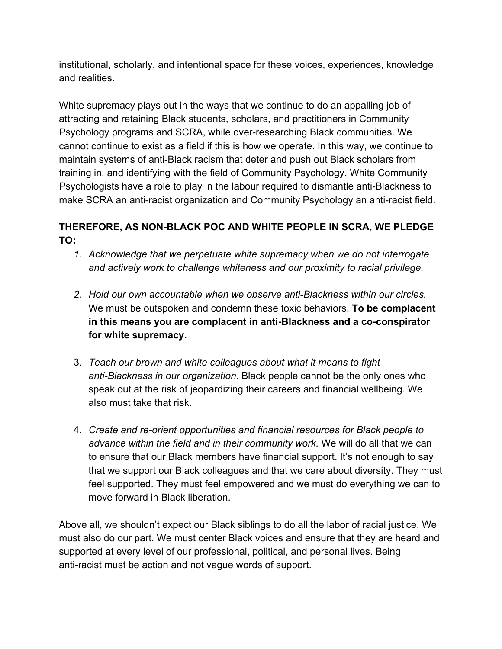institutional, scholarly, and intentional space for these voices, experiences, knowledge and realities.

White supremacy plays out in the ways that we continue to do an appalling job of attracting and retaining Black students, scholars, and practitioners in Community Psychology programs and SCRA, while over-researching Black communities. We cannot continue to exist as a field if this is how we operate. In this way, we continue to maintain systems of anti-Black racism that deter and push out Black scholars from training in, and identifying with the field of Community Psychology. White Community Psychologists have a role to play in the labour required to dismantle anti-Blackness to make SCRA an anti-racist organization and Community Psychology an anti-racist field.

# **THEREFORE, AS NON-BLACK POC AND WHITE PEOPLE IN SCRA, WE PLEDGE TO:**

- *1. Acknowledge that we perpetuate white supremacy when we do not interrogate and actively work to challenge whiteness and our proximity to racial privilege.*
- *2. Hold our own accountable when we observe anti-Blackness within our circles.* We must be outspoken and condemn these toxic behaviors. **To be complacent in this means you are complacent in anti-Blackness and a co-conspirator for white supremacy.**
- 3. *Teach our brown and white colleagues about what it means to fight anti-Blackness in our organization.* Black people cannot be the only ones who speak out at the risk of jeopardizing their careers and financial wellbeing. We also must take that risk.
- 4. *Create and re-orient opportunities and financial resources for Black people to advance within the field and in their community work.* We will do all that we can to ensure that our Black members have financial support. It's not enough to say that we support our Black colleagues and that we care about diversity. They must feel supported. They must feel empowered and we must do everything we can to move forward in Black liberation.

Above all, we shouldn't expect our Black siblings to do all the labor of racial justice. We must also do our part. We must center Black voices and ensure that they are heard and supported at every level of our professional, political, and personal lives. Being anti-racist must be action and not vague words of support.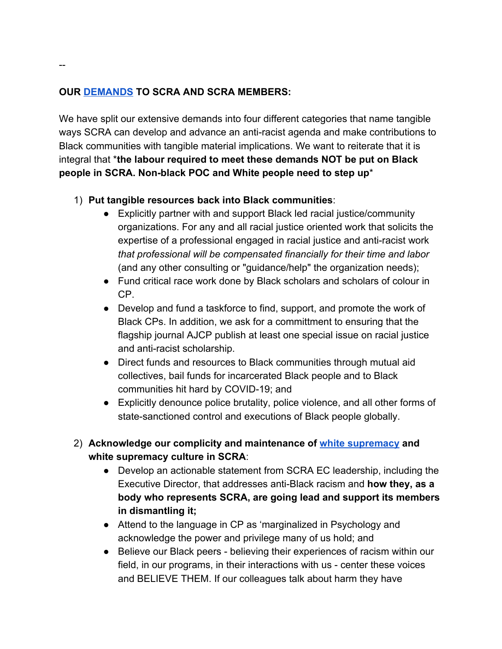### **OUR DEM[ANDS](https://docs.google.com/forms/d/e/1FAIpQLScPczfGtzxMM--5qIWFpsEkdTDWbwGI2hnkTDrHQ9rUO1ygkQ/viewform?usp=sf_link) TO SCRA AND SCRA MEMBERS:**

We have split our extensive demands into four different categories that name tangible ways SCRA can develop and advance an anti-racist agenda and make contributions to Black communities with tangible material implications. We want to reiterate that it is integral that \***the labour required to meet these demands NOT be put on Black people in SCRA. Non-black POC and White people need to step up**\*

### 1) **Put tangible resources back into Black communities**:

- Explicitly partner with and support Black led racial justice/community organizations. For any and all racial justice oriented work that solicits the expertise of a professional engaged in racial justice and anti-racist work *that professional will be compensated financially for their time and labor* (and any other consulting or "guidance/help" the organization needs);
- Fund critical race work done by Black scholars and scholars of colour in CP.
- Develop and fund a taskforce to find, support, and promote the work of Black CPs. In addition, we ask for a committment to ensuring that the flagship journal AJCP publish at least one special issue on racial justice and anti-racist scholarship.
- Direct funds and resources to Black communities through mutual aid collectives, bail funds for incarcerated Black people and to Black communities hit hard by COVID-19; and
- Explicitly denounce police brutality, police violence, and all other forms of state-sanctioned control and executions of Black people globally.
- 2) **Acknowledge our complicity and maintenance of [white supremacy](https://www.showingupforracialjustice.org/white-supremacy-culture-characteristics.html) and white supremacy culture in SCRA**:
	- Develop an actionable statement from SCRA EC leadership, including the Executive Director, that addresses anti-Black racism and **how they, as a body who represents SCRA, are going lead and support its members in dismantling it;**
	- Attend to the language in CP as 'marginalized in Psychology and acknowledge the power and privilege many of us hold; and
	- Believe our Black peers believing their experiences of racism within our field, in our programs, in their interactions with us - center these voices and BELIEVE THEM. If our colleagues talk about harm they have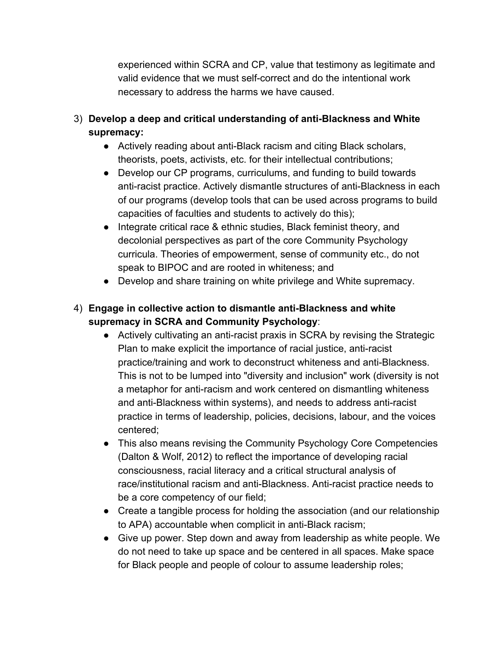experienced within SCRA and CP, value that testimony as legitimate and valid evidence that we must self-correct and do the intentional work necessary to address the harms we have caused.

- 3) **Develop a deep and critical understanding of anti-Blackness and White supremacy:**
	- Actively reading about anti-Black racism and citing Black scholars, theorists, poets, activists, etc. for their intellectual contributions;
	- Develop our CP programs, curriculums, and funding to build towards anti-racist practice. Actively dismantle structures of anti-Blackness in each of our programs (develop tools that can be used across programs to build capacities of faculties and students to actively do this);
	- Integrate critical race & ethnic studies, Black feminist theory, and decolonial perspectives as part of the core Community Psychology curricula. Theories of empowerment, sense of community etc., do not speak to BIPOC and are rooted in whiteness; and
	- Develop and share training on white privilege and White supremacy.
- 4) **Engage in collective action to dismantle anti-Blackness and white supremacy in SCRA and Community Psychology**:
	- Actively cultivating an anti-racist praxis in SCRA by revising the Strategic Plan to make explicit the importance of racial justice, anti-racist practice/training and work to deconstruct whiteness and anti-Blackness. This is not to be lumped into "diversity and inclusion" work (diversity is not a metaphor for anti-racism and work centered on dismantling whiteness and anti-Blackness within systems), and needs to address anti-racist practice in terms of leadership, policies, decisions, labour, and the voices centered;
	- This also means revising the Community Psychology Core Competencies (Dalton & Wolf, 2012) to reflect the importance of developing racial consciousness, racial literacy and a critical structural analysis of race/institutional racism and anti-Blackness. Anti-racist practice needs to be a core competency of our field;
	- Create a tangible process for holding the association (and our relationship to APA) accountable when complicit in anti-Black racism;
	- Give up power. Step down and away from leadership as white people. We do not need to take up space and be centered in all spaces. Make space for Black people and people of colour to assume leadership roles;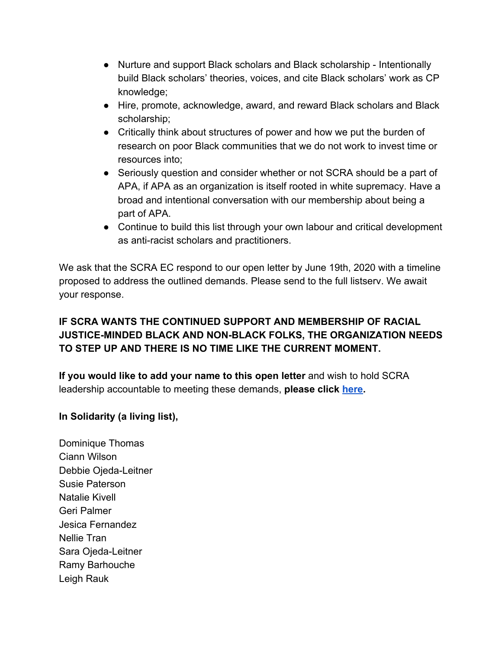- Nurture and support Black scholars and Black scholarship Intentionally build Black scholars' theories, voices, and cite Black scholars' work as CP knowledge;
- Hire, promote, acknowledge, award, and reward Black scholars and Black scholarship;
- Critically think about structures of power and how we put the burden of research on poor Black communities that we do not work to invest time or resources into;
- Seriously question and consider whether or not SCRA should be a part of APA, if APA as an organization is itself rooted in white supremacy. Have a broad and intentional conversation with our membership about being a part of APA.
- Continue to build this list through your own labour and critical development as anti-racist scholars and practitioners.

We ask that the SCRA EC respond to our open letter by June 19th, 2020 with a timeline proposed to address the outlined demands. Please send to the full listserv. We await your response.

# **IF SCRA WANTS THE CONTINUED SUPPORT AND MEMBERSHIP OF RACIAL JUSTICE-MINDED BLACK AND NON-BLACK FOLKS, THE ORGANIZATION NEEDS TO STEP UP AND THERE IS NO TIME LIKE THE CURRENT MOMENT.**

**If you would like to add your name to this open letter** and wish to hold SCRA leadership accountable to meeting these demands, **please click [here.](https://docs.google.com/forms/d/e/1FAIpQLScPczfGtzxMM--5qIWFpsEkdTDWbwGI2hnkTDrHQ9rUO1ygkQ/viewform?usp=sf_link)**

# **In Solidarity (a living list),**

Dominique Thomas Ciann Wilson Debbie Ojeda-Leitner Susie Paterson Natalie Kivell Geri Palmer Jesica Fernandez Nellie Tran Sara Ojeda-Leitner Ramy Barhouche Leigh Rauk